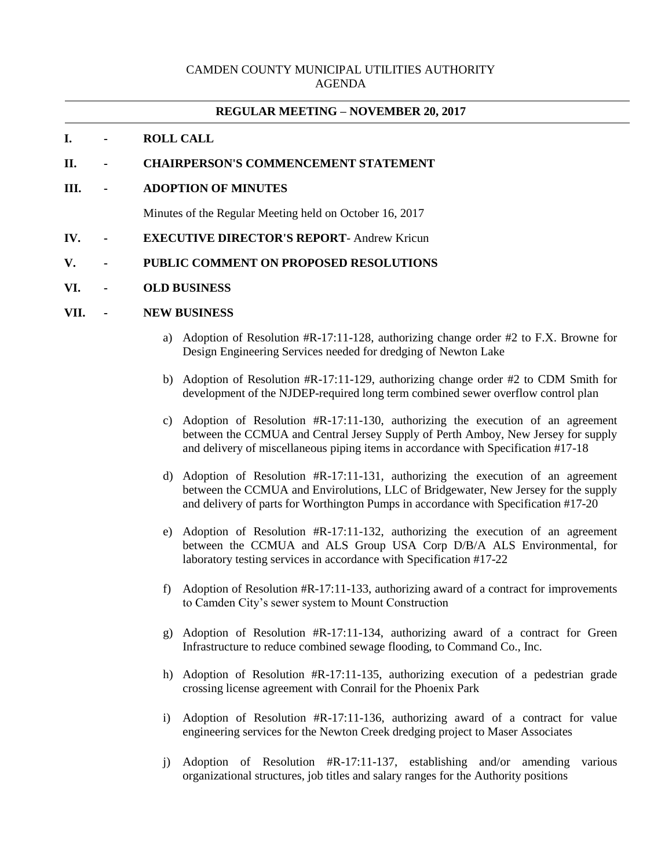### CAMDEN COUNTY MUNICIPAL UTILITIES AUTHORITY AGENDA

## **REGULAR MEETING – NOVEMBER 20, 2017**

## **I. - ROLL CALL**

### **II. - CHAIRPERSON'S COMMENCEMENT STATEMENT**

### **III. - ADOPTION OF MINUTES**

Minutes of the Regular Meeting held on October 16, 2017

**IV. - EXECUTIVE DIRECTOR'S REPORT**- Andrew Kricun

#### **V. - PUBLIC COMMENT ON PROPOSED RESOLUTIONS**

**VI. - OLD BUSINESS**

#### **VII. - NEW BUSINESS**

- a) Adoption of Resolution #R-17:11-128, authorizing change order #2 to F.X. Browne for Design Engineering Services needed for dredging of Newton Lake
- b) Adoption of Resolution #R-17:11-129, authorizing change order #2 to CDM Smith for development of the NJDEP-required long term combined sewer overflow control plan
- c) Adoption of Resolution #R-17:11-130, authorizing the execution of an agreement between the CCMUA and Central Jersey Supply of Perth Amboy, New Jersey for supply and delivery of miscellaneous piping items in accordance with Specification #17-18
- d) Adoption of Resolution #R-17:11-131, authorizing the execution of an agreement between the CCMUA and Envirolutions, LLC of Bridgewater, New Jersey for the supply and delivery of parts for Worthington Pumps in accordance with Specification #17-20
- e) Adoption of Resolution #R-17:11-132, authorizing the execution of an agreement between the CCMUA and ALS Group USA Corp D/B/A ALS Environmental, for laboratory testing services in accordance with Specification #17-22
- f) Adoption of Resolution #R-17:11-133, authorizing award of a contract for improvements to Camden City's sewer system to Mount Construction
- g) Adoption of Resolution #R-17:11-134, authorizing award of a contract for Green Infrastructure to reduce combined sewage flooding, to Command Co., Inc.
- h) Adoption of Resolution #R-17:11-135, authorizing execution of a pedestrian grade crossing license agreement with Conrail for the Phoenix Park
- i) Adoption of Resolution #R-17:11-136, authorizing award of a contract for value engineering services for the Newton Creek dredging project to Maser Associates
- j) Adoption of Resolution #R-17:11-137, establishing and/or amending various organizational structures, job titles and salary ranges for the Authority positions